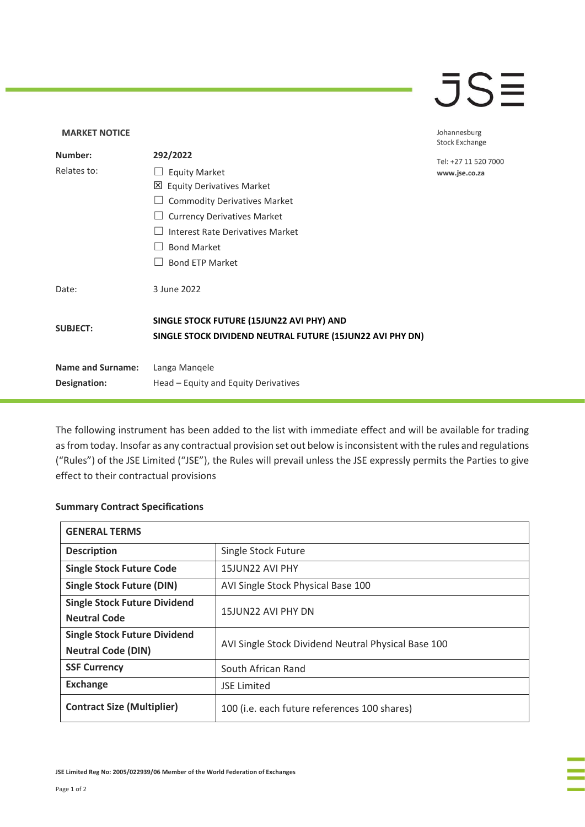## $\overline{\mathsf{J}}\mathsf{S}\overline{\mathsf{H}}$

## **MARKET NOTICE** Johannesburg **Stock Exchange Number: 292/2022** Tel: +27 11 520 7000 Relates to: □ Equity Market www.jse.co.za Equity Derivatives Market ☐ Commodity Derivatives Market □ Currency Derivatives Market ☐ Interest Rate Derivatives Market ☐ Bond Market □ Bond ETP Market Date: 3 June 2022 **SINGLE STOCK FUTURE (15JUN22 AVI PHY) AND SUBJECT: SINGLE STOCK DIVIDEND NEUTRAL FUTURE (15JUN22 AVI PHY DN) Name and Surname:** Langa Manqele **Designation:** Head – Equity and Equity Derivatives

The following instrument has been added to the list with immediate effect and will be available for trading as from today. Insofar as any contractual provision set out below is inconsistent with the rules and regulations ("Rules") of the JSE Limited ("JSE"), the Rules will prevail unless the JSE expressly permits the Parties to give effect to their contractual provisions

## **Summary Contract Specifications**

| <b>GENERAL TERMS</b>                |                                                     |
|-------------------------------------|-----------------------------------------------------|
| <b>Description</b>                  | Single Stock Future                                 |
| <b>Single Stock Future Code</b>     | 15JUN22 AVI PHY                                     |
| <b>Single Stock Future (DIN)</b>    | AVI Single Stock Physical Base 100                  |
| <b>Single Stock Future Dividend</b> | 15JUN22 AVI PHY DN                                  |
| <b>Neutral Code</b>                 |                                                     |
| <b>Single Stock Future Dividend</b> | AVI Single Stock Dividend Neutral Physical Base 100 |
| <b>Neutral Code (DIN)</b>           |                                                     |
| <b>SSF Currency</b>                 | South African Rand                                  |
| <b>Exchange</b>                     | <b>JSE Limited</b>                                  |
| <b>Contract Size (Multiplier)</b>   | 100 (i.e. each future references 100 shares)        |

**JSE Limited Reg No: 2005/022939/06 Member of the World Federation of Exchanges**